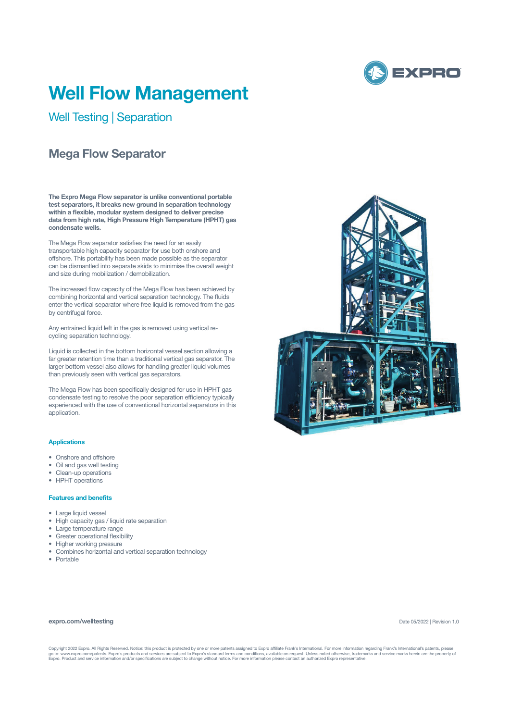

# **Well Flow Management**

Well Testing | Separation

## **Mega Flow Separator**

**The Expro Mega Flow separator is unlike conventional portable test separators, it breaks new ground in separation technology within a flexible, modular system designed to deliver precise data from high rate, High Pressure High Temperature (HPHT) gas condensate wells.**

The Mega Flow separator satisfies the need for an easily transportable high capacity separator for use both onshore and offshore. This portability has been made possible as the separator can be dismantled into separate skids to minimise the overall weight and size during mobilization / demobilization.

The increased flow capacity of the Mega Flow has been achieved by combining horizontal and vertical separation technology. The fluids enter the vertical separator where free liquid is removed from the gas by centrifugal force.

Any entrained liquid left in the gas is removed using vertical recycling separation technology.

Liquid is collected in the bottom horizontal vessel section allowing a far greater retention time than a traditional vertical gas separator. The larger bottom vessel also allows for handling greater liquid volumes than previously seen with vertical gas separators.

The Mega Flow has been specifically designed for use in HPHT gas condensate testing to resolve the poor separation efficiency typically experienced with the use of conventional horizontal separators in this application.

#### **Applications**

- Onshore and offshore
- Oil and gas well testing
- Clean-up operations
- HPHT operations

### **Features and benefits**

- Large liquid vessel
- High capacity gas / liquid rate separation
- Large temperature range
- Greater operational flexibility
- Higher working pressure
- Combines horizontal and vertical separation technology
- Portable





#### Date 05/2022 | Revision 1.0

Copyright 2022 Expro. All Rights Reserved. Notice: this product is protected by one or more patents assigned to Expro affiliate Frank's International. For more information regarding Frank's International's patents, please<br>